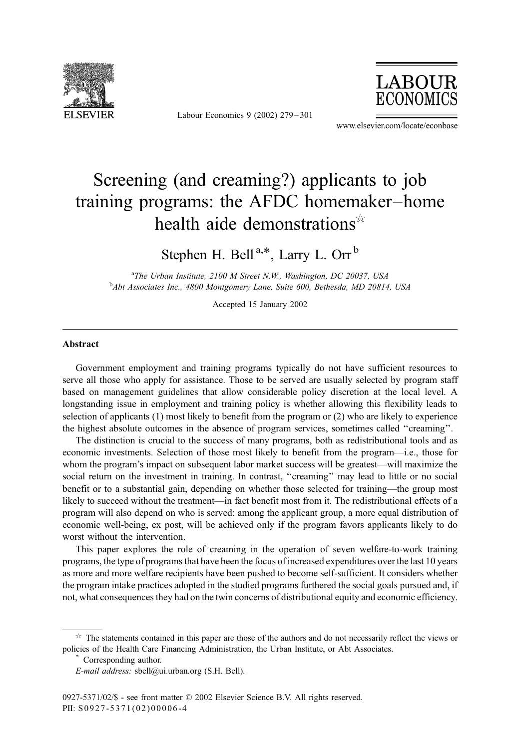

Labour Economics 9 (2002) 279 – 301



www.elsevier.com/locate/econbase

# Screening (and creaming?) applicants to job training programs: the AFDC homemaker–home health aide demonstrations $\mathbb{R}^*$

### Stephen H. Bell<sup>a,\*</sup>, Larry L. Orr<sup>b</sup>

<sup>a</sup>The Urban Institute, 2100 M Street N.W., Washington, DC 20037, USA <sup>b</sup>Abt Associates Inc., 4800 Montgomery Lane, Suite 600, Bethesda, MD 20814, USA

Accepted 15 January 2002

#### Abstract

Government employment and training programs typically do not have sufficient resources to serve all those who apply for assistance. Those to be served are usually selected by program staff based on management guidelines that allow considerable policy discretion at the local level. A longstanding issue in employment and training policy is whether allowing this flexibility leads to selection of applicants (1) most likely to benefit from the program or (2) who are likely to experience the highest absolute outcomes in the absence of program services, sometimes called ''creaming''.

The distinction is crucial to the success of many programs, both as redistributional tools and as economic investments. Selection of those most likely to benefit from the program—i.e., those for whom the program's impact on subsequent labor market success will be greatest—will maximize the social return on the investment in training. In contrast, "creaming" may lead to little or no social benefit or to a substantial gain, depending on whether those selected for training—the group most likely to succeed without the treatment—in fact benefit most from it. The redistributional effects of a program will also depend on who is served: among the applicant group, a more equal distribution of economic well-being, ex post, will be achieved only if the program favors applicants likely to do worst without the intervention.

This paper explores the role of creaming in the operation of seven welfare-to-work training programs, the type of programs that have been the focus of increased expenditures over the last 10 years as more and more welfare recipients have been pushed to become self-sufficient. It considers whether the program intake practices adopted in the studied programs furthered the social goals pursued and, if not, what consequences they had on the twin concerns of distributional equity and economic efficiency.

 $\dot{\mathbb{R}}$  The statements contained in this paper are those of the authors and do not necessarily reflect the views or policies of the Health Care Financing Administration, the Urban Institute, or Abt Associates. \* Corresponding author.

E-mail address: sbell@ui.urban.org (S.H. Bell).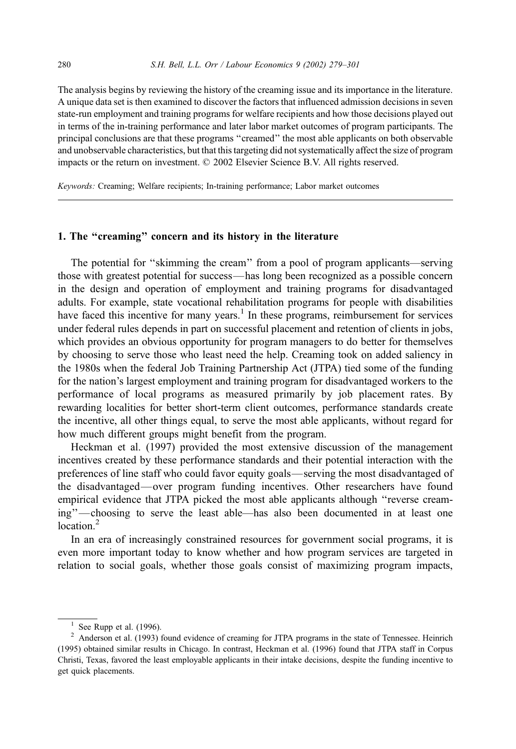The analysis begins by reviewing the history of the creaming issue and its importance in the literature. A unique data set is then examined to discover the factors that influenced admission decisions in seven state-run employment and training programs for welfare recipients and how those decisions played out in terms of the in-training performance and later labor market outcomes of program participants. The principal conclusions are that these programs ''creamed'' the most able applicants on both observable and unobservable characteristics, but that this targeting did not systematically affect the size of program impacts or the return on investment.  $\odot$  2002 Elsevier Science B.V. All rights reserved.

Keywords: Creaming; Welfare recipients; In-training performance; Labor market outcomes

### 1. The ''creaming'' concern and its history in the literature

The potential for ''skimming the cream'' from a pool of program applicants—serving those with greatest potential for success—has long been recognized as a possible concern in the design and operation of employment and training programs for disadvantaged adults. For example, state vocational rehabilitation programs for people with disabilities have faced this incentive for many years.<sup>1</sup> In these programs, reimbursement for services under federal rules depends in part on successful placement and retention of clients in jobs, which provides an obvious opportunity for program managers to do better for themselves by choosing to serve those who least need the help. Creaming took on added saliency in the 1980s when the federal Job Training Partnership Act (JTPA) tied some of the funding for the nation's largest employment and training program for disadvantaged workers to the performance of local programs as measured primarily by job placement rates. By rewarding localities for better short-term client outcomes, performance standards create the incentive, all other things equal, to serve the most able applicants, without regard for how much different groups might benefit from the program.

Heckman et al. (1997) provided the most extensive discussion of the management incentives created by these performance standards and their potential interaction with the preferences of line staff who could favor equity goals—serving the most disadvantaged of the disadvantaged—over program funding incentives. Other researchers have found empirical evidence that JTPA picked the most able applicants although ''reverse creaming''—choosing to serve the least able—has also been documented in at least one  $location<sup>2</sup>$ 

In an era of increasingly constrained resources for government social programs, it is even more important today to know whether and how program services are targeted in relation to social goals, whether those goals consist of maximizing program impacts,

<sup>&</sup>lt;sup>1</sup> See Rupp et al. (1996). <sup>2</sup> Anderson et al. (1993) found evidence of creaming for JTPA programs in the state of Tennessee. Heinrich (1995) obtained similar results in Chicago. In contrast, Heckman et al. (1996) found that JTPA staff in Corpus Christi, Texas, favored the least employable applicants in their intake decisions, despite the funding incentive to get quick placements.